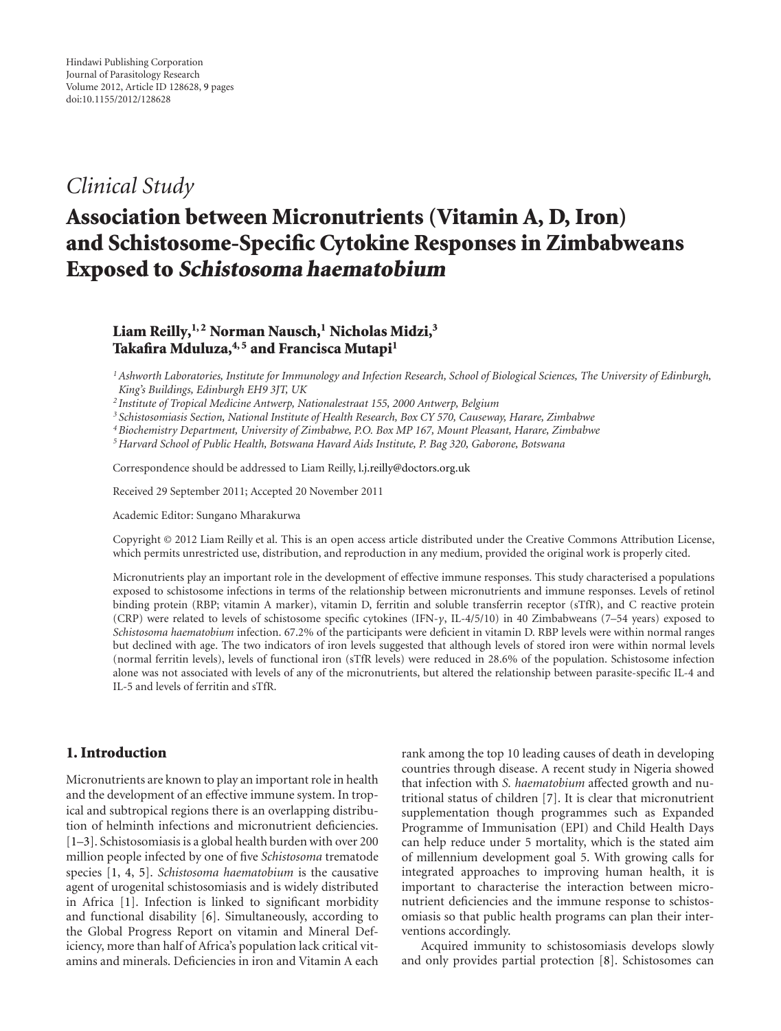# *Clinical Study*

# **Association between Micronutrients (Vitamin A, D, Iron) and Schistosome-Specific Cytokine Responses in Zimbabweans Exposed to Schistosoma haematobium**

# Liam Reilly, <sup>1, 2</sup> Norman Nausch, <sup>1</sup> Nicholas Midzi, <sup>3</sup> Takafira Mduluza,<sup>4,5</sup> and Francisca Mutapi<sup>1</sup>

*1Ashworth Laboratories, Institute for Immunology and Infection Research, School of Biological Sciences, The University of Edinburgh, King's Buildings, Edinburgh EH9 3JT, UK*

*<sup>2</sup> Institute of Tropical Medicine Antwerp, Nationalestraat 155, 2000 Antwerp, Belgium*

*<sup>3</sup> Schistosomiasis Section, National Institute of Health Research, Box CY 570, Causeway, Harare, Zimbabwe*

*4Biochemistry Department, University of Zimbabwe, P.O. Box MP 167, Mount Pleasant, Harare, Zimbabwe*

*5Harvard School of Public Health, Botswana Havard Aids Institute, P. Bag 320, Gaborone, Botswana*

Correspondence should be addressed to Liam Reilly, l.j.reilly@doctors.org.uk

Received 29 September 2011; Accepted 20 November 2011

Academic Editor: Sungano Mharakurwa

Copyright © 2012 Liam Reilly et al. This is an open access article distributed under the Creative Commons Attribution License, which permits unrestricted use, distribution, and reproduction in any medium, provided the original work is properly cited.

Micronutrients play an important role in the development of effective immune responses. This study characterised a populations exposed to schistosome infections in terms of the relationship between micronutrients and immune responses. Levels of retinol binding protein (RBP; vitamin A marker), vitamin D, ferritin and soluble transferrin receptor (sTfR), and C reactive protein (CRP) were related to levels of schistosome specific cytokines (IFN-*γ*, IL-4/5/10) in 40 Zimbabweans (7–54 years) exposed to *Schistosoma haematobium* infection. 67.2% of the participants were deficient in vitamin D. RBP levels were within normal ranges but declined with age. The two indicators of iron levels suggested that although levels of stored iron were within normal levels (normal ferritin levels), levels of functional iron (sTfR levels) were reduced in 28.6% of the population. Schistosome infection alone was not associated with levels of any of the micronutrients, but altered the relationship between parasite-specific IL-4 and IL-5 and levels of ferritin and sTfR.

## **1. Introduction**

Micronutrients are known to play an important role in health and the development of an effective immune system. In tropical and subtropical regions there is an overlapping distribution of helminth infections and micronutrient deficiencies. [1–3]. Schistosomiasis is a global health burden with over 200 million people infected by one of five *Schistosoma* trematode species [1, 4, 5]. *Schistosoma haematobium* is the causative agent of urogenital schistosomiasis and is widely distributed in Africa [1]. Infection is linked to significant morbidity and functional disability [6]. Simultaneously, according to the Global Progress Report on vitamin and Mineral Deficiency, more than half of Africa's population lack critical vitamins and minerals. Deficiencies in iron and Vitamin A each

rank among the top 10 leading causes of death in developing countries through disease. A recent study in Nigeria showed that infection with *S. haematobium* affected growth and nutritional status of children [7]. It is clear that micronutrient supplementation though programmes such as Expanded Programme of Immunisation (EPI) and Child Health Days can help reduce under 5 mortality, which is the stated aim of millennium development goal 5. With growing calls for integrated approaches to improving human health, it is important to characterise the interaction between micronutrient deficiencies and the immune response to schistosomiasis so that public health programs can plan their interventions accordingly.

Acquired immunity to schistosomiasis develops slowly and only provides partial protection [8]. Schistosomes can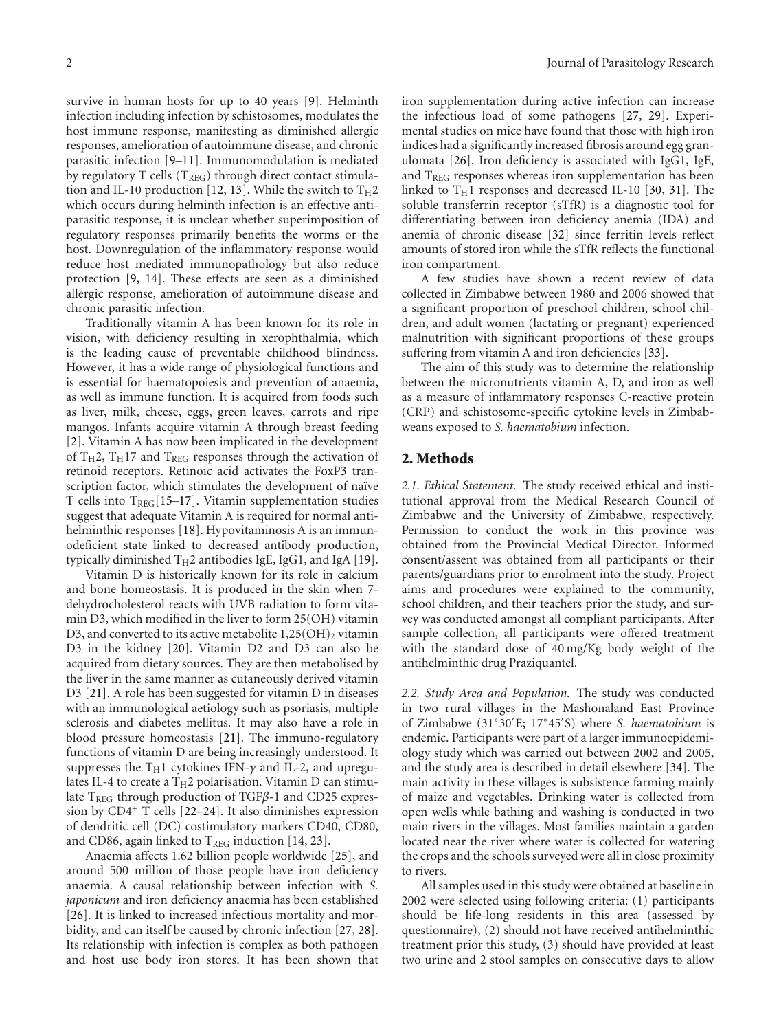survive in human hosts for up to 40 years [9]. Helminth infection including infection by schistosomes, modulates the host immune response, manifesting as diminished allergic responses, amelioration of autoimmune disease, and chronic parasitic infection [9–11]. Immunomodulation is mediated by regulatory T cells  $(T_{REG})$  through direct contact stimulation and IL-10 production [12, 13]. While the switch to  $T_H2$ which occurs during helminth infection is an effective antiparasitic response, it is unclear whether superimposition of regulatory responses primarily benefits the worms or the host. Downregulation of the inflammatory response would reduce host mediated immunopathology but also reduce protection [9, 14]. These effects are seen as a diminished allergic response, amelioration of autoimmune disease and chronic parasitic infection.

Traditionally vitamin A has been known for its role in vision, with deficiency resulting in xerophthalmia, which is the leading cause of preventable childhood blindness. However, it has a wide range of physiological functions and is essential for haematopoiesis and prevention of anaemia, as well as immune function. It is acquired from foods such as liver, milk, cheese, eggs, green leaves, carrots and ripe mangos. Infants acquire vitamin A through breast feeding [2]. Vitamin A has now been implicated in the development of  $T_H$ 2,  $T_H$ 17 and  $T_{REG}$  responses through the activation of retinoid receptors. Retinoic acid activates the FoxP3 transcription factor, which stimulates the development of naïve T cells into  $T_{REG}[15–17]$ . Vitamin supplementation studies suggest that adequate Vitamin A is required for normal antihelminthic responses [18]. Hypovitaminosis A is an immunodeficient state linked to decreased antibody production, typically diminished  $T_H2$  antibodies IgE, IgG1, and IgA [19].

Vitamin D is historically known for its role in calcium and bone homeostasis. It is produced in the skin when 7 dehydrocholesterol reacts with UVB radiation to form vitamin D3, which modified in the liver to form 25(OH) vitamin D3, and converted to its active metabolite  $1,25(OH)_2$  vitamin D3 in the kidney [20]. Vitamin D2 and D3 can also be acquired from dietary sources. They are then metabolised by the liver in the same manner as cutaneously derived vitamin D3 [21]. A role has been suggested for vitamin D in diseases with an immunological aetiology such as psoriasis, multiple sclerosis and diabetes mellitus. It may also have a role in blood pressure homeostasis [21]. The immuno-regulatory functions of vitamin D are being increasingly understood. It suppresses the T<sub>H</sub>1 cytokines IFN-γ and IL-2, and upregulates IL-4 to create a  $T_H2$  polarisation. Vitamin D can stimulate T<sub>REG</sub> through production of TGFβ-1 and CD25 expression by CD4<sup>+</sup> T cells [22–24]. It also diminishes expression of dendritic cell (DC) costimulatory markers CD40, CD80, and CD86, again linked to  $T_{REG}$  induction [14, 23].

Anaemia affects 1.62 billion people worldwide [25], and around 500 million of those people have iron deficiency anaemia. A causal relationship between infection with *S. japonicum* and iron deficiency anaemia has been established [26]. It is linked to increased infectious mortality and morbidity, and can itself be caused by chronic infection [27, 28]. Its relationship with infection is complex as both pathogen and host use body iron stores. It has been shown that

iron supplementation during active infection can increase the infectious load of some pathogens [27, 29]. Experimental studies on mice have found that those with high iron indices had a significantly increased fibrosis around egg granulomata [26]. Iron deficiency is associated with IgG1, IgE, and  $T_{REG}$  responses whereas iron supplementation has been linked to  $T_H1$  responses and decreased IL-10 [30, 31]. The soluble transferrin receptor (sTfR) is a diagnostic tool for differentiating between iron deficiency anemia (IDA) and anemia of chronic disease [32] since ferritin levels reflect amounts of stored iron while the sTfR reflects the functional iron compartment.

A few studies have shown a recent review of data collected in Zimbabwe between 1980 and 2006 showed that a significant proportion of preschool children, school children, and adult women (lactating or pregnant) experienced malnutrition with significant proportions of these groups suffering from vitamin A and iron deficiencies [33].

The aim of this study was to determine the relationship between the micronutrients vitamin A, D, and iron as well as a measure of inflammatory responses C-reactive protein (CRP) and schistosome-specific cytokine levels in Zimbabweans exposed to *S. haematobium* infection.

### **2. Methods**

*2.1. Ethical Statement.* The study received ethical and institutional approval from the Medical Research Council of Zimbabwe and the University of Zimbabwe, respectively. Permission to conduct the work in this province was obtained from the Provincial Medical Director. Informed consent/assent was obtained from all participants or their parents/guardians prior to enrolment into the study. Project aims and procedures were explained to the community, school children, and their teachers prior the study, and survey was conducted amongst all compliant participants. After sample collection, all participants were offered treatment with the standard dose of 40 mg/Kg body weight of the antihelminthic drug Praziquantel.

*2.2. Study Area and Population.* The study was conducted in two rural villages in the Mashonaland East Province of Zimbabwe (31◦30 E; 17◦45 S) where *S. haematobium* is endemic. Participants were part of a larger immunoepidemiology study which was carried out between 2002 and 2005, and the study area is described in detail elsewhere [34]. The main activity in these villages is subsistence farming mainly of maize and vegetables. Drinking water is collected from open wells while bathing and washing is conducted in two main rivers in the villages. Most families maintain a garden located near the river where water is collected for watering the crops and the schools surveyed were all in close proximity to rivers.

All samples used in this study were obtained at baseline in 2002 were selected using following criteria: (1) participants should be life-long residents in this area (assessed by questionnaire), (2) should not have received antihelminthic treatment prior this study, (3) should have provided at least two urine and 2 stool samples on consecutive days to allow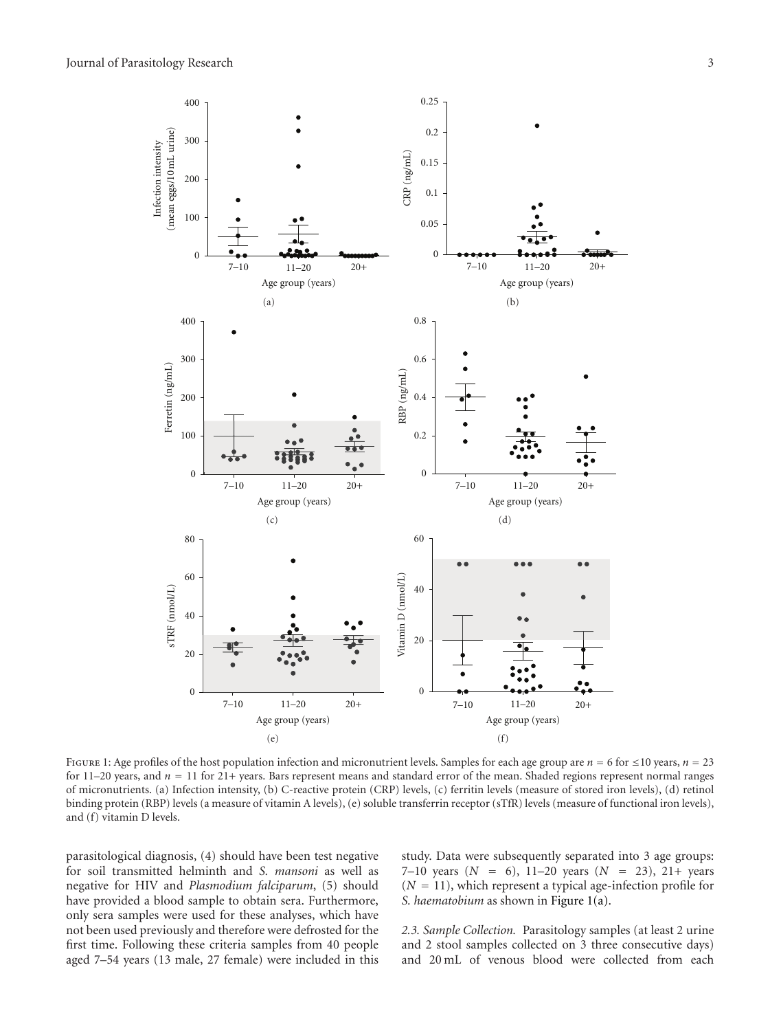

Figure 1: Age profiles of the host population infection and micronutrient levels. Samples for each age group are *<sup>n</sup>* <sup>=</sup> 6 for <sup>≤</sup>10 years, *<sup>n</sup>* <sup>=</sup> <sup>23</sup> for 11–20 years, and *<sup>n</sup>* <sup>=</sup> 11 for 21+ years. Bars represent means and standard error of the mean. Shaded regions represent normal ranges of micronutrients. (a) Infection intensity, (b) C-reactive protein (CRP) levels, (c) ferritin levels (measure of stored iron levels), (d) retinol binding protein (RBP) levels (a measure of vitamin A levels), (e) soluble transferrin receptor (sTfR) levels (measure of functional iron levels), and (f) vitamin D levels.

parasitological diagnosis, (4) should have been test negative for soil transmitted helminth and *S. mansoni* as well as negative for HIV and *Plasmodium falciparum*, (5) should have provided a blood sample to obtain sera. Furthermore, only sera samples were used for these analyses, which have not been used previously and therefore were defrosted for the first time. Following these criteria samples from 40 people aged 7–54 years (13 male, 27 female) were included in this

study. Data were subsequently separated into 3 age groups: 7–10 years  $(N = 6)$ , 11–20 years  $(N = 23)$ , 21+ years  $(N = 11)$ , which represent a typical age-infection profile for *S. haematobium* as shown in Figure 1(a).

*2.3. Sample Collection.* Parasitology samples (at least 2 urine and 2 stool samples collected on 3 three consecutive days) and 20 mL of venous blood were collected from each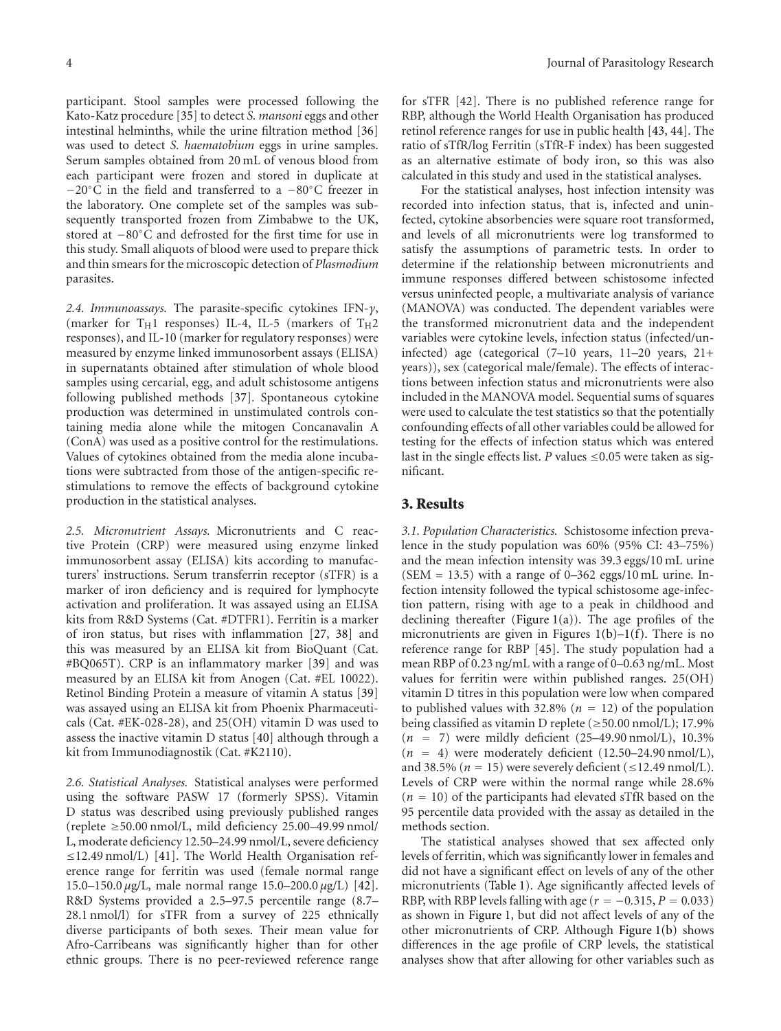participant. Stool samples were processed following the Kato-Katz procedure [35] to detect *S. mansoni* eggs and other intestinal helminths, while the urine filtration method [36] was used to detect *S. haematobium* eggs in urine samples. Serum samples obtained from 20 mL of venous blood from each participant were frozen and stored in duplicate at −20◦C in the field and transferred to a −80◦C freezer in the laboratory. One complete set of the samples was subsequently transported frozen from Zimbabwe to the UK, stored at −80◦C and defrosted for the first time for use in this study. Small aliquots of blood were used to prepare thick and thin smears for the microscopic detection of *Plasmodium* parasites.

*2.4. Immunoassays.* The parasite-specific cytokines IFN-*γ*, (marker for  $T_H1$  responses) IL-4, IL-5 (markers of  $T_H2$ responses), and IL-10 (marker for regulatory responses) were measured by enzyme linked immunosorbent assays (ELISA) in supernatants obtained after stimulation of whole blood samples using cercarial, egg, and adult schistosome antigens following published methods [37]. Spontaneous cytokine production was determined in unstimulated controls containing media alone while the mitogen Concanavalin A (ConA) was used as a positive control for the restimulations. Values of cytokines obtained from the media alone incubations were subtracted from those of the antigen-specific restimulations to remove the effects of background cytokine production in the statistical analyses.

*2.5. Micronutrient Assays.* Micronutrients and C reactive Protein (CRP) were measured using enzyme linked immunosorbent assay (ELISA) kits according to manufacturers' instructions. Serum transferrin receptor (sTFR) is a marker of iron deficiency and is required for lymphocyte activation and proliferation. It was assayed using an ELISA kits from R&D Systems (Cat. #DTFR1). Ferritin is a marker of iron status, but rises with inflammation [27, 38] and this was measured by an ELISA kit from BioQuant (Cat. #BQ065T). CRP is an inflammatory marker [39] and was measured by an ELISA kit from Anogen (Cat. #EL 10022). Retinol Binding Protein a measure of vitamin A status [39] was assayed using an ELISA kit from Phoenix Pharmaceuticals (Cat. #EK-028-28), and 25(OH) vitamin D was used to assess the inactive vitamin D status [40] although through a kit from Immunodiagnostik (Cat. #K2110).

*2.6. Statistical Analyses.* Statistical analyses were performed using the software PASW 17 (formerly SPSS). Vitamin D status was described using previously published ranges (replete  $\geq$  50.00 nmol/L, mild deficiency 25.00–49.99 nmol/ L, moderate deficiency 12.50–24.99 nmol/L, severe deficiency ≤12.49 nmol/L) [41]. The World Health Organisation reference range for ferritin was used (female normal range 15.0–150.0 *μ*g/L, male normal range 15.0–200.0 *μ*g/L) [42]. R&D Systems provided a 2.5–97.5 percentile range (8.7– 28.1 nmol/l) for sTFR from a survey of 225 ethnically diverse participants of both sexes. Their mean value for Afro-Carribeans was significantly higher than for other ethnic groups. There is no peer-reviewed reference range

for sTFR [42]. There is no published reference range for RBP, although the World Health Organisation has produced retinol reference ranges for use in public health [43, 44]. The ratio of sTfR/log Ferritin (sTfR-F index) has been suggested as an alternative estimate of body iron, so this was also calculated in this study and used in the statistical analyses.

For the statistical analyses, host infection intensity was recorded into infection status, that is, infected and uninfected, cytokine absorbencies were square root transformed, and levels of all micronutrients were log transformed to satisfy the assumptions of parametric tests. In order to determine if the relationship between micronutrients and immune responses differed between schistosome infected versus uninfected people, a multivariate analysis of variance (MANOVA) was conducted. The dependent variables were the transformed micronutrient data and the independent variables were cytokine levels, infection status (infected/uninfected) age (categorical (7–10 years, 11–20 years, 21+ years)), sex (categorical male/female). The effects of interactions between infection status and micronutrients were also included in the MANOVA model. Sequential sums of squares were used to calculate the test statistics so that the potentially confounding effects of all other variables could be allowed for testing for the effects of infection status which was entered last in the single effects list. *P* values  $\leq 0.05$  were taken as significant.

#### **3. Results**

*3.1. Population Characteristics.* Schistosome infection prevalence in the study population was 60% (95% CI: 43–75%) and the mean infection intensity was 39.3 eggs/10 mL urine (SEM = 13.5) with a range of  $0-362$  eggs/10 mL urine. Infection intensity followed the typical schistosome age-infection pattern, rising with age to a peak in childhood and declining thereafter (Figure 1(a)). The age profiles of the micronutrients are given in Figures 1(b)–1(f). There is no reference range for RBP [45]. The study population had a mean RBP of 0.23 ng/mL with a range of 0–0.63 ng/mL. Most values for ferritin were within published ranges. 25(OH) vitamin D titres in this population were low when compared to published values with 32.8% ( $n = 12$ ) of the population being classified as vitamin D replete (≥50.00 nmol/L); 17.9% (*<sup>n</sup>* <sup>=</sup> 7) were mildly deficient (25–49.90 nmol/L), 10.3%  $(n = 4)$  were moderately deficient  $(12.50-24.90 \text{ nmol/L})$ , and 38.5% ( $n = 15$ ) were severely deficient ( $\leq 12.49$  nmol/L). Levels of CRP were within the normal range while 28.6%  $(n = 10)$  of the participants had elevated sTfR based on the 95 percentile data provided with the assay as detailed in the methods section.

The statistical analyses showed that sex affected only levels of ferritin, which was significantly lower in females and did not have a significant effect on levels of any of the other micronutrients (Table 1). Age significantly affected levels of RBP, with RBP levels falling with age  $(r = -0.315, P = 0.033)$ as shown in Figure 1, but did not affect levels of any of the other micronutrients of CRP. Although Figure 1(b) shows differences in the age profile of CRP levels, the statistical analyses show that after allowing for other variables such as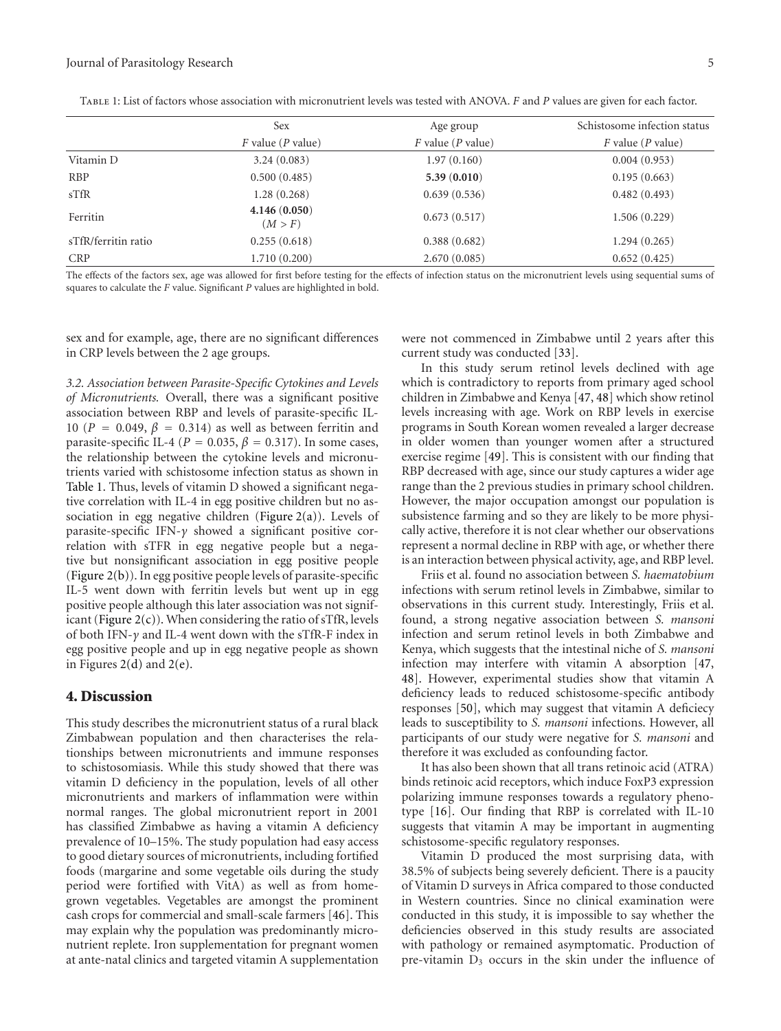|                     | <b>Sex</b>              | Age group              | Schistosome infection status |
|---------------------|-------------------------|------------------------|------------------------------|
|                     | $F$ value ( $P$ value)  | $F$ value ( $P$ value) | $F$ value ( $P$ value)       |
| Vitamin D           | 3.24(0.083)             | 1.97(0.160)            | 0.004(0.953)                 |
| <b>RBP</b>          | 0.500(0.485)            | 5.39(0.010)            | 0.195(0.663)                 |
| $s$ TfR             | 1.28(0.268)             | 0.639(0.536)           | 0.482(0.493)                 |
| Ferritin            | 4.146(0.050)<br>(M > F) | 0.673(0.517)           | 1.506(0.229)                 |
| sTfR/ferritin ratio | 0.255(0.618)            | 0.388(0.682)           | 1.294(0.265)                 |
| <b>CRP</b>          | 1.710(0.200)            | 2.670(0.085)           | 0.652(0.425)                 |
|                     |                         |                        |                              |

Table 1: List of factors whose association with micronutrient levels was tested with ANOVA. *F* and *P* values are given for each factor.

The effects of the factors sex, age was allowed for first before testing for the effects of infection status on the micronutrient levels using sequential sums of squares to calculate the *F* value. Significant *P* values are highlighted in bold.

sex and for example, age, there are no significant differences in CRP levels between the 2 age groups.

*3.2. Association between Parasite-Specific Cytokines and Levels of Micronutrients.* Overall, there was a significant positive association between RBP and levels of parasite-specific IL-10 ( $P = 0.049$ ,  $\beta = 0.314$ ) as well as between ferritin and parasite-specific IL-4 ( $P = 0.035$ ,  $\beta = 0.317$ ). In some cases, the relationship between the cytokine levels and micronutrients varied with schistosome infection status as shown in Table 1. Thus, levels of vitamin D showed a significant negative correlation with IL-4 in egg positive children but no association in egg negative children (Figure 2(a)). Levels of parasite-specific IFN-*γ* showed a significant positive correlation with sTFR in egg negative people but a negative but nonsignificant association in egg positive people (Figure 2(b)). In egg positive people levels of parasite-specific IL-5 went down with ferritin levels but went up in egg positive people although this later association was not significant (Figure  $2(c)$ ). When considering the ratio of sTfR, levels of both IFN-*γ* and IL-4 went down with the sTfR-F index in egg positive people and up in egg negative people as shown in Figures 2(d) and 2(e).

### **4. Discussion**

This study describes the micronutrient status of a rural black Zimbabwean population and then characterises the relationships between micronutrients and immune responses to schistosomiasis. While this study showed that there was vitamin D deficiency in the population, levels of all other micronutrients and markers of inflammation were within normal ranges. The global micronutrient report in 2001 has classified Zimbabwe as having a vitamin A deficiency prevalence of 10–15%. The study population had easy access to good dietary sources of micronutrients, including fortified foods (margarine and some vegetable oils during the study period were fortified with VitA) as well as from homegrown vegetables. Vegetables are amongst the prominent cash crops for commercial and small-scale farmers [46]. This may explain why the population was predominantly micronutrient replete. Iron supplementation for pregnant women at ante-natal clinics and targeted vitamin A supplementation

were not commenced in Zimbabwe until 2 years after this current study was conducted [33].

In this study serum retinol levels declined with age which is contradictory to reports from primary aged school children in Zimbabwe and Kenya [47, 48] which show retinol levels increasing with age. Work on RBP levels in exercise programs in South Korean women revealed a larger decrease in older women than younger women after a structured exercise regime [49]. This is consistent with our finding that RBP decreased with age, since our study captures a wider age range than the 2 previous studies in primary school children. However, the major occupation amongst our population is subsistence farming and so they are likely to be more physically active, therefore it is not clear whether our observations represent a normal decline in RBP with age, or whether there is an interaction between physical activity, age, and RBP level.

Friis et al. found no association between *S. haematobium* infections with serum retinol levels in Zimbabwe, similar to observations in this current study. Interestingly, Friis et al. found, a strong negative association between *S. mansoni* infection and serum retinol levels in both Zimbabwe and Kenya, which suggests that the intestinal niche of *S. mansoni* infection may interfere with vitamin A absorption [47, 48]. However, experimental studies show that vitamin A deficiency leads to reduced schistosome-specific antibody responses [50], which may suggest that vitamin A deficiecy leads to susceptibility to *S. mansoni* infections. However, all participants of our study were negative for *S. mansoni* and therefore it was excluded as confounding factor.

It has also been shown that all trans retinoic acid (ATRA) binds retinoic acid receptors, which induce FoxP3 expression polarizing immune responses towards a regulatory phenotype [16]. Our finding that RBP is correlated with IL-10 suggests that vitamin A may be important in augmenting schistosome-specific regulatory responses.

Vitamin D produced the most surprising data, with 38.5% of subjects being severely deficient. There is a paucity of Vitamin D surveys in Africa compared to those conducted in Western countries. Since no clinical examination were conducted in this study, it is impossible to say whether the deficiencies observed in this study results are associated with pathology or remained asymptomatic. Production of pre-vitamin  $D_3$  occurs in the skin under the influence of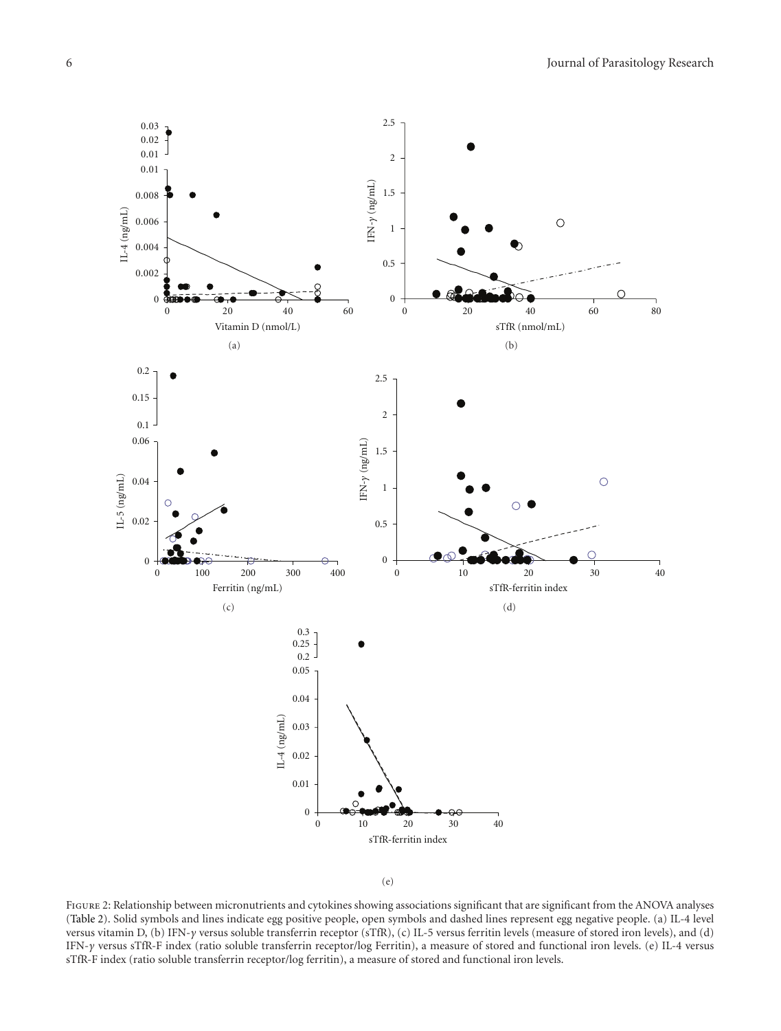



FIGURE 2: Relationship between micronutrients and cytokines showing associations significant that are significant from the ANOVA analyses (Table 2). Solid symbols and lines indicate egg positive people, open symbols and dashed lines represent egg negative people. (a) IL-4 level versus vitamin D, (b) IFN-*γ* versus soluble transferrin receptor (sTfR), (c) IL-5 versus ferritin levels (measure of stored iron levels), and (d) IFN-*γ* versus sTfR-F index (ratio soluble transferrin receptor/log Ferritin), a measure of stored and functional iron levels. (e) IL-4 versus sTfR-F index (ratio soluble transferrin receptor/log ferritin), a measure of stored and functional iron levels.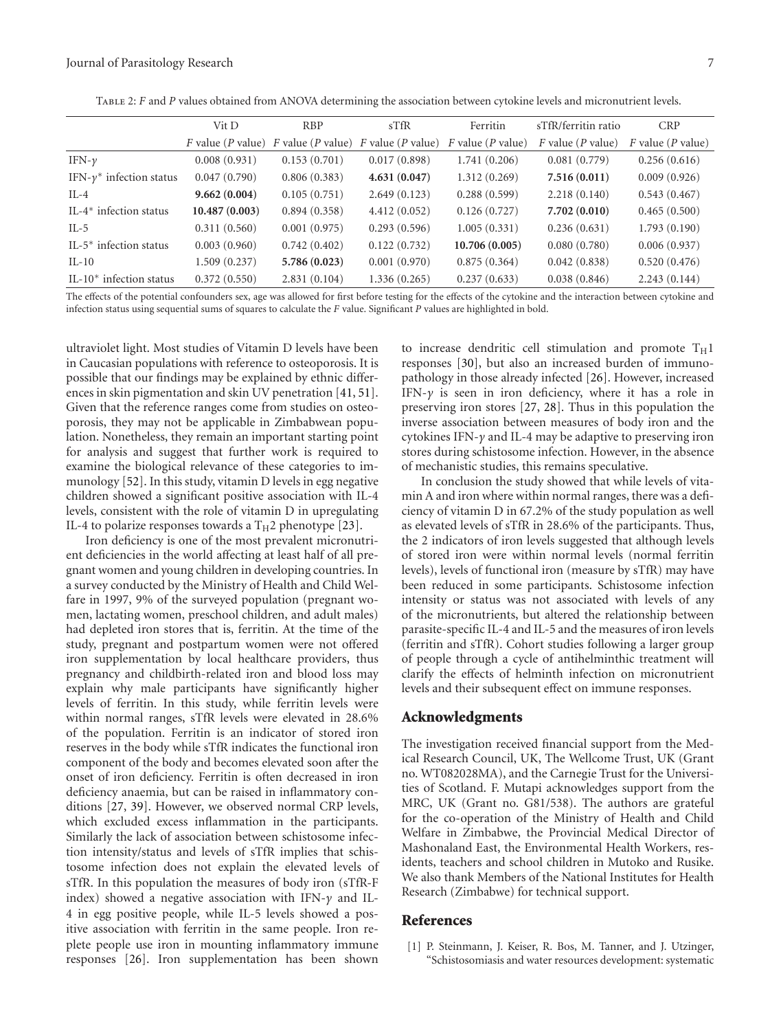| TABLE 2: F and P values obtained from ANOVA determining the association between cytokine levels and micronutrient levels. |
|---------------------------------------------------------------------------------------------------------------------------|
|                                                                                                                           |

|                                    | Vit D         | <b>RBP</b>   | $s$ TfR                                               | Ferritin               | sTfR/ferritin ratio    | <b>CRP</b>             |
|------------------------------------|---------------|--------------|-------------------------------------------------------|------------------------|------------------------|------------------------|
|                                    |               |              | F value (P value) F value (P value) F value (P value) | $F$ value ( $P$ value) | $F$ value ( $P$ value) | $F$ value ( $P$ value) |
| IFN- $\nu$                         | 0.008(0.931)  | 0.153(0.701) | 0.017(0.898)                                          | 1.741(0.206)           | 0.081(0.779)           | 0.256(0.616)           |
| IFN- $\gamma^*$ infection status   | 0.047(0.790)  | 0.806(0.383) | 4.631(0.047)                                          | 1.312(0.269)           | 7.516(0.011)           | 0.009(0.926)           |
| $IL-4$                             | 9.662(0.004)  | 0.105(0.751) | 2.649(0.123)                                          | 0.288(0.599)           | 2.218(0.140)           | 0.543(0.467)           |
| IL-4 <sup>*</sup> infection status | 10.487(0.003) | 0.894(0.358) | 4.412(0.052)                                          | 0.126(0.727)           | 7.702(0.010)           | 0.465(0.500)           |
| $IL-5$                             | 0.311(0.560)  | 0.001(0.975) | 0.293(0.596)                                          | 1.005(0.331)           | 0.236(0.631)           | 1.793(0.190)           |
| IL-5 $*$ infection status          | 0.003(0.960)  | 0.742(0.402) | 0.122(0.732)                                          | 10.706(0.005)          | 0.080(0.780)           | 0.006(0.937)           |
| $IL-10$                            | 1.509(0.237)  | 5.786(0.023) | 0.001(0.970)                                          | 0.875(0.364)           | 0.042(0.838)           | 0.520(0.476)           |
| IL-10 $*$ infection status         | 0.372(0.550)  | 2.831(0.104) | 1.336(0.265)                                          | 0.237(0.633)           | 0.038(0.846)           | 2.243(0.144)           |

The effects of the potential confounders sex, age was allowed for first before testing for the effects of the cytokine and the interaction between cytokine and infection status using sequential sums of squares to calculate the *F* value. Significant *P* values are highlighted in bold.

ultraviolet light. Most studies of Vitamin D levels have been in Caucasian populations with reference to osteoporosis. It is possible that our findings may be explained by ethnic differences in skin pigmentation and skin UV penetration [41, 51]. Given that the reference ranges come from studies on osteoporosis, they may not be applicable in Zimbabwean population. Nonetheless, they remain an important starting point for analysis and suggest that further work is required to examine the biological relevance of these categories to immunology [52]. In this study, vitamin D levels in egg negative children showed a significant positive association with IL-4 levels, consistent with the role of vitamin D in upregulating IL-4 to polarize responses towards a  $T_H2$  phenotype [23].

Iron deficiency is one of the most prevalent micronutrient deficiencies in the world affecting at least half of all pregnant women and young children in developing countries. In a survey conducted by the Ministry of Health and Child Welfare in 1997, 9% of the surveyed population (pregnant women, lactating women, preschool children, and adult males) had depleted iron stores that is, ferritin. At the time of the study, pregnant and postpartum women were not offered iron supplementation by local healthcare providers, thus pregnancy and childbirth-related iron and blood loss may explain why male participants have significantly higher levels of ferritin. In this study, while ferritin levels were within normal ranges, sTfR levels were elevated in 28.6% of the population. Ferritin is an indicator of stored iron reserves in the body while sTfR indicates the functional iron component of the body and becomes elevated soon after the onset of iron deficiency. Ferritin is often decreased in iron deficiency anaemia, but can be raised in inflammatory conditions [27, 39]. However, we observed normal CRP levels, which excluded excess inflammation in the participants. Similarly the lack of association between schistosome infection intensity/status and levels of sTfR implies that schistosome infection does not explain the elevated levels of sTfR. In this population the measures of body iron (sTfR-F index) showed a negative association with IFN-*γ* and IL-4 in egg positive people, while IL-5 levels showed a positive association with ferritin in the same people. Iron replete people use iron in mounting inflammatory immune responses [26]. Iron supplementation has been shown

to increase dendritic cell stimulation and promote  $T_H1$ responses [30], but also an increased burden of immunopathology in those already infected [26]. However, increased IFN-*γ* is seen in iron deficiency, where it has a role in preserving iron stores [27, 28]. Thus in this population the inverse association between measures of body iron and the cytokines IFN-*γ* and IL-4 may be adaptive to preserving iron stores during schistosome infection. However, in the absence of mechanistic studies, this remains speculative.

In conclusion the study showed that while levels of vitamin A and iron where within normal ranges, there was a deficiency of vitamin D in 67.2% of the study population as well as elevated levels of sTfR in 28.6% of the participants. Thus, the 2 indicators of iron levels suggested that although levels of stored iron were within normal levels (normal ferritin levels), levels of functional iron (measure by sTfR) may have been reduced in some participants. Schistosome infection intensity or status was not associated with levels of any of the micronutrients, but altered the relationship between parasite-specific IL-4 and IL-5 and the measures of iron levels (ferritin and sTfR). Cohort studies following a larger group of people through a cycle of antihelminthic treatment will clarify the effects of helminth infection on micronutrient levels and their subsequent effect on immune responses.

#### **Acknowledgments**

The investigation received financial support from the Medical Research Council, UK, The Wellcome Trust, UK (Grant no. WT082028MA), and the Carnegie Trust for the Universities of Scotland. F. Mutapi acknowledges support from the MRC, UK (Grant no. G81/538). The authors are grateful for the co-operation of the Ministry of Health and Child Welfare in Zimbabwe, the Provincial Medical Director of Mashonaland East, the Environmental Health Workers, residents, teachers and school children in Mutoko and Rusike. We also thank Members of the National Institutes for Health Research (Zimbabwe) for technical support.

#### **References**

[1] P. Steinmann, J. Keiser, R. Bos, M. Tanner, and J. Utzinger, "Schistosomiasis and water resources development: systematic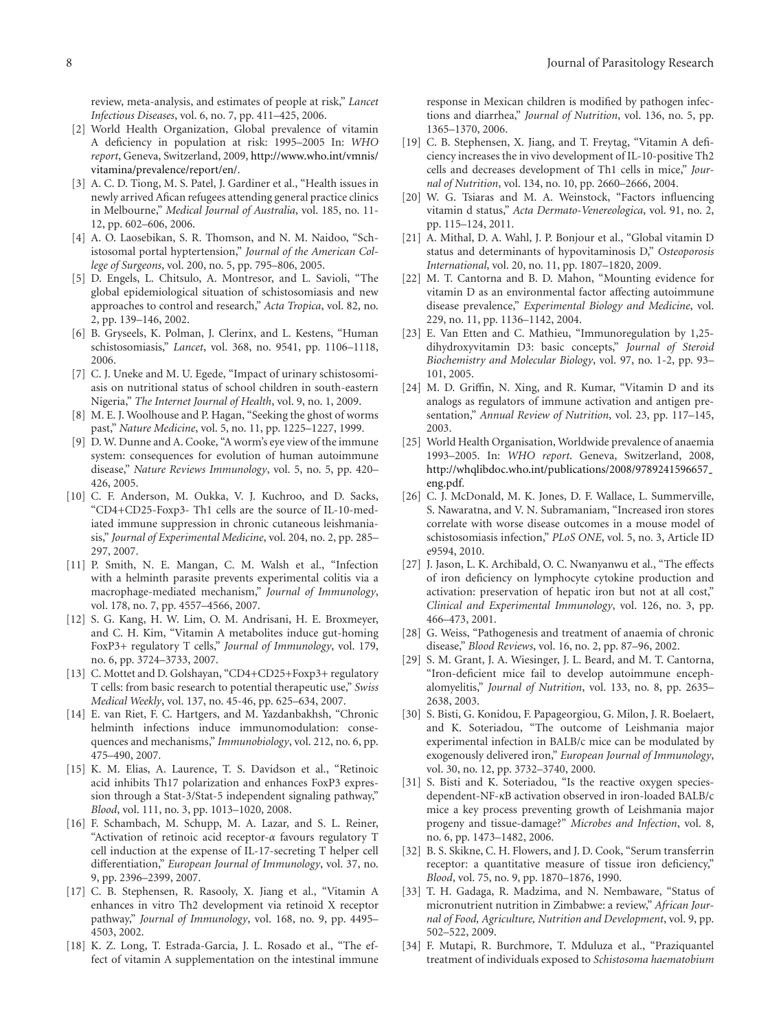review, meta-analysis, and estimates of people at risk," *Lancet Infectious Diseases*, vol. 6, no. 7, pp. 411–425, 2006.

- [2] World Health Organization, Global prevalence of vitamin A deficiency in population at risk: 1995–2005 In: *WHO report*, Geneva, Switzerland, 2009, http://www.who.int/vmnis/ vitamina/prevalence/report/en/.
- [3] A. C. D. Tiong, M. S. Patel, J. Gardiner et al., "Health issues in newly arrived Afican refugees attending general practice clinics in Melbourne," *Medical Journal of Australia*, vol. 185, no. 11- 12, pp. 602–606, 2006.
- [4] A. O. Laosebikan, S. R. Thomson, and N. M. Naidoo, "Schistosomal portal hyptertension," *Journal of the American College of Surgeons*, vol. 200, no. 5, pp. 795–806, 2005.
- [5] D. Engels, L. Chitsulo, A. Montresor, and L. Savioli, "The global epidemiological situation of schistosomiasis and new approaches to control and research," *Acta Tropica*, vol. 82, no. 2, pp. 139–146, 2002.
- [6] B. Gryseels, K. Polman, J. Clerinx, and L. Kestens, "Human schistosomiasis," *Lancet*, vol. 368, no. 9541, pp. 1106–1118, 2006.
- [7] C. J. Uneke and M. U. Egede, "Impact of urinary schistosomiasis on nutritional status of school children in south-eastern Nigeria," *The Internet Journal of Health*, vol. 9, no. 1, 2009.
- [8] M. E. J. Woolhouse and P. Hagan, "Seeking the ghost of worms past," *Nature Medicine*, vol. 5, no. 11, pp. 1225–1227, 1999.
- [9] D. W. Dunne and A. Cooke, "A worm's eye view of the immune system: consequences for evolution of human autoimmune disease," *Nature Reviews Immunology*, vol. 5, no. 5, pp. 420– 426, 2005.
- [10] C. F. Anderson, M. Oukka, V. J. Kuchroo, and D. Sacks, "CD4+CD25-Foxp3- Th1 cells are the source of IL-10-mediated immune suppression in chronic cutaneous leishmaniasis," *Journal of Experimental Medicine*, vol. 204, no. 2, pp. 285– 297, 2007.
- [11] P. Smith, N. E. Mangan, C. M. Walsh et al., "Infection with a helminth parasite prevents experimental colitis via a macrophage-mediated mechanism," *Journal of Immunology*, vol. 178, no. 7, pp. 4557–4566, 2007.
- [12] S. G. Kang, H. W. Lim, O. M. Andrisani, H. E. Broxmeyer, and C. H. Kim, "Vitamin A metabolites induce gut-homing FoxP3+ regulatory T cells," *Journal of Immunology*, vol. 179, no. 6, pp. 3724–3733, 2007.
- [13] C. Mottet and D. Golshayan, "CD4+CD25+Foxp3+ regulatory T cells: from basic research to potential therapeutic use," *Swiss Medical Weekly*, vol. 137, no. 45-46, pp. 625–634, 2007.
- [14] E. van Riet, F. C. Hartgers, and M. Yazdanbakhsh, "Chronic helminth infections induce immunomodulation: consequences and mechanisms," *Immunobiology*, vol. 212, no. 6, pp. 475–490, 2007.
- [15] K. M. Elias, A. Laurence, T. S. Davidson et al., "Retinoic acid inhibits Th17 polarization and enhances FoxP3 expression through a Stat-3/Stat-5 independent signaling pathway," *Blood*, vol. 111, no. 3, pp. 1013–1020, 2008.
- [16] F. Schambach, M. Schupp, M. A. Lazar, and S. L. Reiner, "Activation of retinoic acid receptor-*α* favours regulatory T cell induction at the expense of IL-17-secreting T helper cell differentiation," *European Journal of Immunology*, vol. 37, no. 9, pp. 2396–2399, 2007.
- [17] C. B. Stephensen, R. Rasooly, X. Jiang et al., "Vitamin A enhances in vitro Th2 development via retinoid X receptor pathway," *Journal of Immunology*, vol. 168, no. 9, pp. 4495– 4503, 2002.
- [18] K. Z. Long, T. Estrada-Garcia, J. L. Rosado et al., "The effect of vitamin A supplementation on the intestinal immune

response in Mexican children is modified by pathogen infections and diarrhea," *Journal of Nutrition*, vol. 136, no. 5, pp. 1365–1370, 2006.

- [19] C. B. Stephensen, X. Jiang, and T. Freytag, "Vitamin A deficiency increases the in vivo development of IL-10-positive Th2 cells and decreases development of Th1 cells in mice," *Journal of Nutrition*, vol. 134, no. 10, pp. 2660–2666, 2004.
- [20] W. G. Tsiaras and M. A. Weinstock, "Factors influencing vitamin d status," *Acta Dermato-Venereologica*, vol. 91, no. 2, pp. 115–124, 2011.
- [21] A. Mithal, D. A. Wahl, J. P. Bonjour et al., "Global vitamin D status and determinants of hypovitaminosis D," *Osteoporosis International*, vol. 20, no. 11, pp. 1807–1820, 2009.
- [22] M. T. Cantorna and B. D. Mahon, "Mounting evidence for vitamin D as an environmental factor affecting autoimmune disease prevalence," *Experimental Biology and Medicine*, vol. 229, no. 11, pp. 1136–1142, 2004.
- [23] E. Van Etten and C. Mathieu, "Immunoregulation by 1,25dihydroxyvitamin D3: basic concepts," *Journal of Steroid Biochemistry and Molecular Biology*, vol. 97, no. 1-2, pp. 93– 101, 2005.
- [24] M. D. Griffin, N. Xing, and R. Kumar, "Vitamin D and its analogs as regulators of immune activation and antigen presentation," *Annual Review of Nutrition*, vol. 23, pp. 117–145, 2003.
- [25] World Health Organisation, Worldwide prevalence of anaemia 1993–2005. In: *WHO report*. Geneva, Switzerland, 2008, http://whqlibdoc.who.int/publications/2008/9789241596657 eng.pdf.
- [26] C. J. McDonald, M. K. Jones, D. F. Wallace, L. Summerville, S. Nawaratna, and V. N. Subramaniam, "Increased iron stores correlate with worse disease outcomes in a mouse model of schistosomiasis infection," *PLoS ONE*, vol. 5, no. 3, Article ID e9594, 2010.
- [27] J. Jason, L. K. Archibald, O. C. Nwanyanwu et al., "The effects of iron deficiency on lymphocyte cytokine production and activation: preservation of hepatic iron but not at all cost," *Clinical and Experimental Immunology*, vol. 126, no. 3, pp. 466–473, 2001.
- [28] G. Weiss, "Pathogenesis and treatment of anaemia of chronic disease," *Blood Reviews*, vol. 16, no. 2, pp. 87–96, 2002.
- [29] S. M. Grant, J. A. Wiesinger, J. L. Beard, and M. T. Cantorna, "Iron-deficient mice fail to develop autoimmune encephalomyelitis," *Journal of Nutrition*, vol. 133, no. 8, pp. 2635– 2638, 2003.
- [30] S. Bisti, G. Konidou, F. Papageorgiou, G. Milon, J. R. Boelaert, and K. Soteriadou, "The outcome of Leishmania major experimental infection in BALB/c mice can be modulated by exogenously delivered iron," *European Journal of Immunology*, vol. 30, no. 12, pp. 3732–3740, 2000.
- [31] S. Bisti and K. Soteriadou, "Is the reactive oxygen speciesdependent-NF-*κ*B activation observed in iron-loaded BALB/c mice a key process preventing growth of Leishmania major progeny and tissue-damage?" *Microbes and Infection*, vol. 8, no. 6, pp. 1473–1482, 2006.
- [32] B. S. Skikne, C. H. Flowers, and J. D. Cook, "Serum transferrin receptor: a quantitative measure of tissue iron deficiency," *Blood*, vol. 75, no. 9, pp. 1870–1876, 1990.
- [33] T. H. Gadaga, R. Madzima, and N. Nembaware, "Status of micronutrient nutrition in Zimbabwe: a review," *African Journal of Food, Agriculture, Nutrition and Development*, vol. 9, pp. 502–522, 2009.
- [34] F. Mutapi, R. Burchmore, T. Mduluza et al., "Praziquantel treatment of individuals exposed to *Schistosoma haematobium*